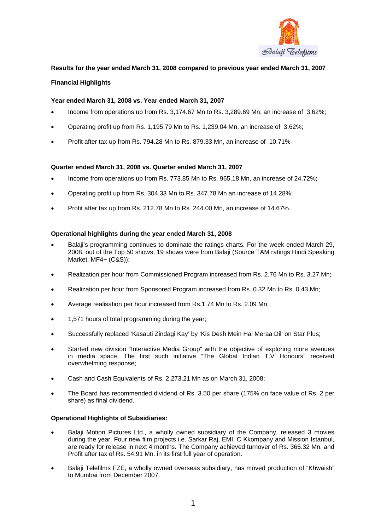

## **Results for the year ended March 31, 2008 compared to previous year ended March 31, 2007**

## **Financial Highlights**

## **Year ended March 31, 2008 vs. Year ended March 31, 2007**

- Income from operations up from Rs. 3,174.67 Mn to Rs. 3,289.69 Mn, an increase of 3.62%;
- Operating profit up from Rs. 1,195.79 Mn to Rs. 1,239.04 Mn, an increase of 3.62%;
- Profit after tax up from Rs. 794.28 Mn to Rs. 879.33 Mn, an increase of 10.71%

### **Quarter ended March 31, 2008 vs. Quarter ended March 31, 2007**

- Income from operations up from Rs. 773.85 Mn to Rs. 965.18 Mn, an increase of 24.72%;
- Operating profit up from Rs. 304.33 Mn to Rs. 347.78 Mn an increase of 14.28%;
- Profit after tax up from Rs. 212.78 Mn to Rs. 244.00 Mn, an increase of 14.67%.

### **Operational highlights during the year ended March 31, 2008**

- Balaji's programming continues to dominate the ratings charts. For the week ended March 29, 2008, out of the Top 50 shows, 19 shows were from Balaji (Source TAM ratings Hindi Speaking Market, MF4+ (C&S));
- Realization per hour from Commissioned Program increased from Rs. 2.76 Mn to Rs. 3.27 Mn;
- Realization per hour from Sponsored Program increased from Rs. 0.32 Mn to Rs. 0.43 Mn;
- Average realisation per hour increased from Rs.1.74 Mn to Rs. 2.09 Mn;
- 1,571 hours of total programming during the year;
- Successfully replaced 'Kasauti Zindagi Kay' by 'Kis Desh Mein Hai Meraa Dil' on Star Plus;
- Started new division "Interactive Media Group" with the objective of exploring more avenues in media space. The first such initiative "The Global Indian T.V Honours" received overwhelming response;
- Cash and Cash Equivalents of Rs. 2,273.21 Mn as on March 31, 2008;
- The Board has recommended dividend of Rs. 3.50 per share (175% on face value of Rs. 2 per share) as final dividend.

### **Operational Highlights of Subsidiaries:**

- Balaji Motion Pictures Ltd., a wholly owned subsidiary of the Company, released 3 movies during the year. Four new film projects i.e. Sarkar Raj, EMI, C Kkompany and Mission Istanbul, are ready for release in next 4 months. The Company achieved turnover of Rs. 365.32 Mn. and Profit after tax of Rs. 54.91 Mn. in its first full year of operation.
- Balaji Telefilms FZE, a wholly owned overseas subsidiary, has moved production of "Khwaish" to Mumbai from December 2007.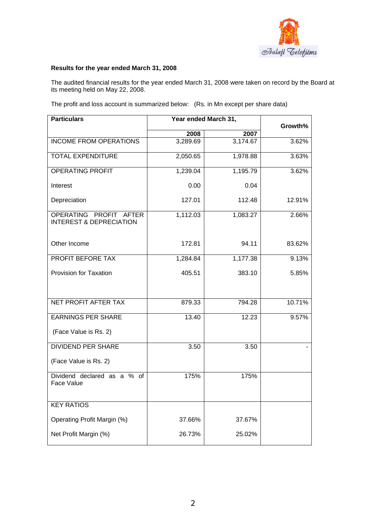

## **Results for the year ended March 31, 2008**

The audited financial results for the year ended March 31, 2008 were taken on record by the Board at its meeting held on May 22, 2008.

The profit and loss account is summarized below: (Rs. in Mn except per share data)

| <b>Particulars</b>                                           | Year ended March 31, | Growth%  |        |
|--------------------------------------------------------------|----------------------|----------|--------|
|                                                              | 2008                 | 2007     |        |
| <b>INCOME FROM OPERATIONS</b>                                | 3,289.69             | 3,174.67 | 3.62%  |
| <b>TOTAL EXPENDITURE</b>                                     | 2,050.65             | 1,978.88 | 3.63%  |
| <b>OPERATING PROFIT</b>                                      | 1,239.04             | 1,195.79 | 3.62%  |
| Interest                                                     | 0.00                 | 0.04     |        |
| Depreciation                                                 | 127.01               | 112.48   | 12.91% |
| OPERATING PROFIT AFTER<br><b>INTEREST &amp; DEPRECIATION</b> | 1,112.03             | 1,083.27 | 2.66%  |
| Other Income                                                 | 172.81               | 94.11    | 83.62% |
| PROFIT BEFORE TAX                                            | 1,284.84             | 1,177.38 | 9.13%  |
| Provision for Taxation                                       | 405.51               | 383.10   | 5.85%  |
| <b>NET PROFIT AFTER TAX</b>                                  | 879.33               | 794.28   | 10.71% |
| <b>EARNINGS PER SHARE</b><br>(Face Value is Rs. 2)           | 13.40                | 12.23    | 9.57%  |
| <b>DIVIDEND PER SHARE</b><br>(Face Value is Rs. 2)           | 3.50                 | 3.50     |        |
| Dividend declared as a % of<br>Face Value                    | 175%                 | 175%     |        |
| <b>KEY RATIOS</b>                                            |                      |          |        |
| Operating Profit Margin (%)                                  | 37.66%               | 37.67%   |        |
| Net Profit Margin (%)                                        | 26.73%               | 25.02%   |        |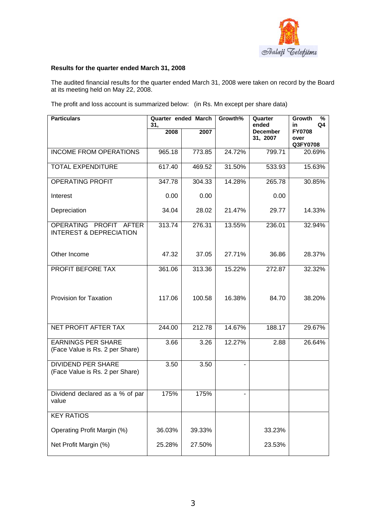

## **Results for the quarter ended March 31, 2008**

The audited financial results for the quarter ended March 31, 2008 were taken on record by the Board at its meeting held on May 22, 2008.

The profit and loss account is summarized below: (in Rs. Mn except per share data)

| <b>Particulars</b>                                              | Quarter ended March<br>31, |        | Growth% | Quarter<br>ended            | %<br>Growth<br>Q4<br>in           |  |
|-----------------------------------------------------------------|----------------------------|--------|---------|-----------------------------|-----------------------------------|--|
|                                                                 | 2008                       | 2007   |         | <b>December</b><br>31, 2007 | <b>FY0708</b><br>over<br>Q3FY0708 |  |
| <b>INCOME FROM OPERATIONS</b>                                   | 965.18                     | 773.85 | 24.72%  | 799.71                      | 20.69%                            |  |
| <b>TOTAL EXPENDITURE</b>                                        | 617.40                     | 469.52 | 31.50%  | 533.93                      | 15.63%                            |  |
| <b>OPERATING PROFIT</b>                                         | 347.78                     | 304.33 | 14.28%  | 265.78                      | 30.85%                            |  |
| Interest                                                        | 0.00                       | 0.00   |         | 0.00                        |                                   |  |
| Depreciation                                                    | 34.04                      | 28.02  | 21.47%  | 29.77                       | 14.33%                            |  |
| OPERATING<br>PROFIT AFTER<br><b>INTEREST &amp; DEPRECIATION</b> | 313.74                     | 276.31 | 13.55%  | 236.01                      | 32.94%                            |  |
| Other Income                                                    | 47.32                      | 37.05  | 27.71%  | 36.86                       | 28.37%                            |  |
| PROFIT BEFORE TAX                                               | 361.06                     | 313.36 | 15.22%  | 272.87                      | 32.32%                            |  |
| <b>Provision for Taxation</b>                                   | 117.06                     | 100.58 | 16.38%  | 84.70                       | 38.20%                            |  |
| NET PROFIT AFTER TAX                                            | 244.00                     | 212.78 | 14.67%  | 188.17                      | 29.67%                            |  |
| <b>EARNINGS PER SHARE</b><br>(Face Value is Rs. 2 per Share)    | 3.66                       | 3.26   | 12.27%  | 2.88                        | 26.64%                            |  |
| <b>DIVIDEND PER SHARE</b><br>(Face Value is Rs. 2 per Share)    | 3.50                       | 3.50   |         |                             |                                   |  |
| Dividend declared as a % of par<br>value                        | 175%                       | 175%   |         |                             |                                   |  |
| <b>KEY RATIOS</b>                                               |                            |        |         |                             |                                   |  |
| Operating Profit Margin (%)                                     | 36.03%                     | 39.33% |         | 33.23%                      |                                   |  |
| Net Profit Margin (%)                                           | 25.28%                     | 27.50% |         | 23.53%                      |                                   |  |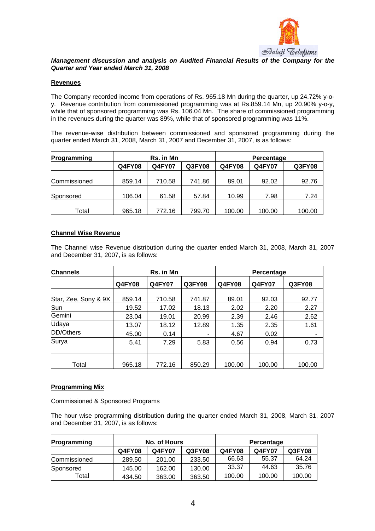

## *Management discussion and analysis on Audited Financial Results of the Company for the Quarter and Year ended March 31, 2008*

### **Revenues**

The Company recorded income from operations of Rs. 965.18 Mn during the quarter, up 24.72% y-oy. Revenue contribution from commissioned programming was at Rs.859.14 Mn, up 20.90% y-o-y, while that of sponsored programming was Rs. 106.04 Mn. The share of commissioned programming in the revenues during the quarter was 89%, while that of sponsored programming was 11%.

The revenue-wise distribution between commissioned and sponsored programming during the quarter ended March 31, 2008, March 31, 2007 and December 31, 2007, is as follows:

| Programming  |               | <b>Rs.</b> in Mn |        |               | Percentage    |               |
|--------------|---------------|------------------|--------|---------------|---------------|---------------|
|              | <b>Q4FY08</b> | <b>Q4FY07</b>    | Q3FY08 | <b>Q4FY08</b> | <b>Q4FY07</b> | <b>Q3FY08</b> |
| Commissioned | 859.14        | 710.58           | 741.86 | 89.01         | 92.02         | 92.76         |
| Sponsored    | 106.04        | 61.58            | 57.84  | 10.99         | 7.98          | 7.24          |
| Total        | 965.18        | 772.16           | 799.70 | 100.00        | 100.00        | 100.00        |

### **Channel Wise Revenue**

The Channel wise Revenue distribution during the quarter ended March 31, 2008, March 31, 2007 and December 31, 2007, is as follows:

| <b>Channels</b>      | Rs. in Mn     |               |        | Percentage    |               |        |
|----------------------|---------------|---------------|--------|---------------|---------------|--------|
|                      | <b>Q4FY08</b> | <b>Q4FY07</b> | Q3FY08 | <b>Q4FY08</b> | <b>Q4FY07</b> | Q3FY08 |
|                      |               |               |        |               |               |        |
| Star, Zee, Sony & 9X | 859.14        | 710.58        | 741.87 | 89.01         | 92.03         | 92.77  |
| Sun                  | 19.52         | 17.02         | 18.13  | 2.02          | 2.20          | 2.27   |
| Gemini               | 23.04         | 19.01         | 20.99  | 2.39          | 2.46          | 2.62   |
| Udaya                | 13.07         | 18.12         | 12.89  | 1.35          | 2.35          | 1.61   |
| DD/Others            | 45.00         | 0.14          | ۰      | 4.67          | 0.02          |        |
| Surya                | 5.41          | 7.29          | 5.83   | 0.56          | 0.94          | 0.73   |
|                      |               |               |        |               |               |        |
| Total                | 965.18        | 772.16        | 850.29 | 100.00        | 100.00        | 100.00 |

# **Programming Mix**

Commissioned & Sponsored Programs

The hour wise programming distribution during the quarter ended March 31, 2008, March 31, 2007 and December 31, 2007, is as follows:

| Programming  | No. of Hours |               |        |               | Percentage    |        |
|--------------|--------------|---------------|--------|---------------|---------------|--------|
|              | Q4FY08       | <b>Q4FY07</b> | Q3FY08 | <b>Q4FY08</b> | <b>Q4FY07</b> | Q3FY08 |
| Commissioned | 289.50       | 201.00        | 233.50 | 66.63         | 55.37         | 64.24  |
| Sponsored    | 145.00       | 162.00        | 130.00 | 33.37         | 44.63         | 35.76  |
| Total        | 434.50       | 363.00        | 363.50 | 100.00        | 100.00        | 100.00 |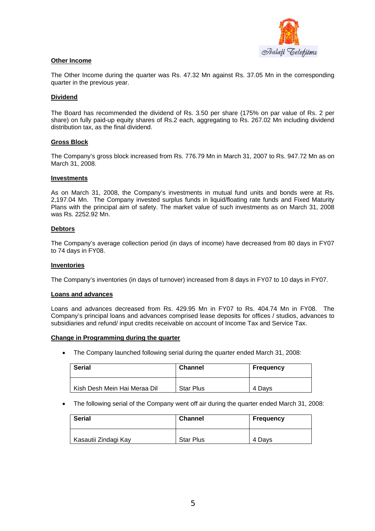

### **Other Income**

The Other Income during the quarter was Rs. 47.32 Mn against Rs. 37.05 Mn in the corresponding quarter in the previous year.

#### **Dividend**

The Board has recommended the dividend of Rs. 3.50 per share (175% on par value of Rs. 2 per share) on fully paid-up equity shares of Rs.2 each, aggregating to Rs. 267.02 Mn including dividend distribution tax, as the final dividend.

#### **Gross Block**

The Company's gross block increased from Rs. 776.79 Mn in March 31, 2007 to Rs. 947.72 Mn as on March 31, 2008.

#### **Investments**

As on March 31, 2008, the Company's investments in mutual fund units and bonds were at Rs. 2,197.04 Mn. The Company invested surplus funds in liquid/floating rate funds and Fixed Maturity Plans with the principal aim of safety. The market value of such investments as on March 31, 2008 was Rs. 2252.92 Mn.

#### **Debtors**

The Company's average collection period (in days of income) have decreased from 80 days in FY07 to 74 days in FY08.

#### **Inventories**

The Company's inventories (in days of turnover) increased from 8 days in FY07 to 10 days in FY07.

#### **Loans and advances**

Loans and advances decreased from Rs. 429.95 Mn in FY07 to Rs. 404.74 Mn in FY08. The Company's principal loans and advances comprised lease deposits for offices / studios, advances to subsidiaries and refund/ input credits receivable on account of Income Tax and Service Tax.

#### **Change in Programming during the quarter**

• The Company launched following serial during the quarter ended March 31, 2008:

| <b>Serial</b>                | <b>Channel</b>   | <b>Frequency</b> |  |
|------------------------------|------------------|------------------|--|
| Kish Desh Mein Hai Meraa Dil | <b>Star Plus</b> | 4 Davs           |  |

• The following serial of the Company went off air during the quarter ended March 31, 2008:

| <b>Serial</b>        | <b>Channel</b>   | <b>Frequency</b> |  |
|----------------------|------------------|------------------|--|
| Kasautii Zindagi Kay | <b>Star Plus</b> | 4 Davs           |  |